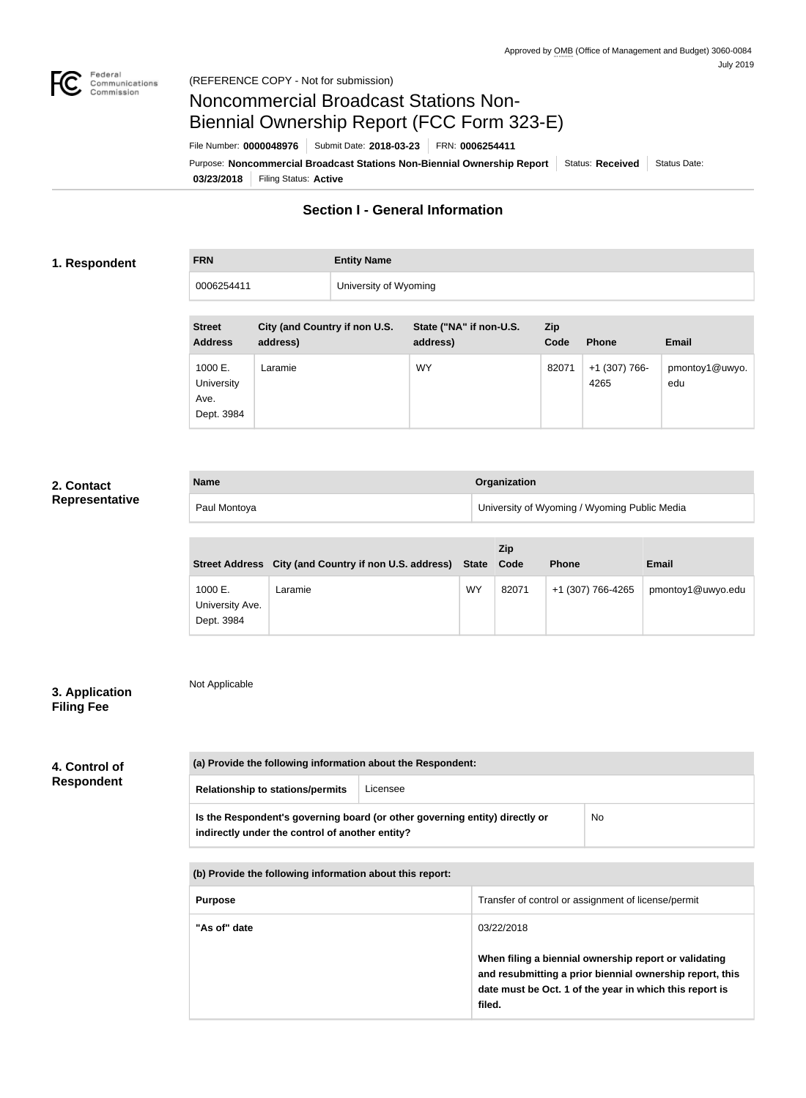

#### (REFERENCE COPY - Not for submission)

# Noncommercial Broadcast Stations Non-Biennial Ownership Report (FCC Form 323-E)

File Number: **0000048976** Submit Date: **2018-03-23** FRN: **0006254411**

**03/23/2018** Filing Status: **Active** Purpose: Noncommercial Broadcast Stations Non-Biennial Ownership Report Status: Received Status Date:

# **Section I - General Information**

### **1. Respondent**

| <b>FRN</b> | <b>Entity Name</b>    |
|------------|-----------------------|
| 0006254411 | University of Wyoming |

| <b>Street</b><br><b>Address</b>             | City (and Country if non U.S.<br>address) | State ("NA" if non-U.S.<br>address) | <b>Zip</b><br>Code | <b>Phone</b>          | <b>Email</b>          |
|---------------------------------------------|-------------------------------------------|-------------------------------------|--------------------|-----------------------|-----------------------|
| 1000 E.<br>University<br>Ave.<br>Dept. 3984 | Laramie                                   | <b>WY</b>                           | 82071              | +1 (307) 766-<br>4265 | pmontoy1@uwyo.<br>edu |

## **2. Contact Representative**

| <b>Name</b>  | Organization                                 |
|--------------|----------------------------------------------|
| Paul Montoya | University of Wyoming / Wyoming Public Media |

|                                          | Street Address City (and Country if non U.S. address) State |           | Zip<br>Code | <b>Phone</b>      | <b>Email</b>      |
|------------------------------------------|-------------------------------------------------------------|-----------|-------------|-------------------|-------------------|
| 1000 E.<br>University Ave.<br>Dept. 3984 | Laramie                                                     | <b>WY</b> | 82071       | +1 (307) 766-4265 | pmontoy1@uwyo.edu |

## **3. Application Filing Fee**

Not Applicable

| 4. Control of     |  |
|-------------------|--|
| <b>Respondent</b> |  |

| (a) Provide the following information about the Respondent: |                                                                                    |  |  |  |  |
|-------------------------------------------------------------|------------------------------------------------------------------------------------|--|--|--|--|
| <b>Relationship to stations/permits</b>                     | Licensee                                                                           |  |  |  |  |
| indirectly under the control of another entity?             | Is the Respondent's governing board (or other governing entity) directly or<br>No. |  |  |  |  |
|                                                             | (b) Provide the following information about this report:                           |  |  |  |  |
| <b>Purpose</b>                                              | Transfer of control or assignment of license/permit                                |  |  |  |  |
| "As of" date                                                | 03/22/2018                                                                         |  |  |  |  |

**When filing a biennial ownership report or validating and resubmitting a prior biennial ownership report, this date must be Oct. 1 of the year in which this report is filed.**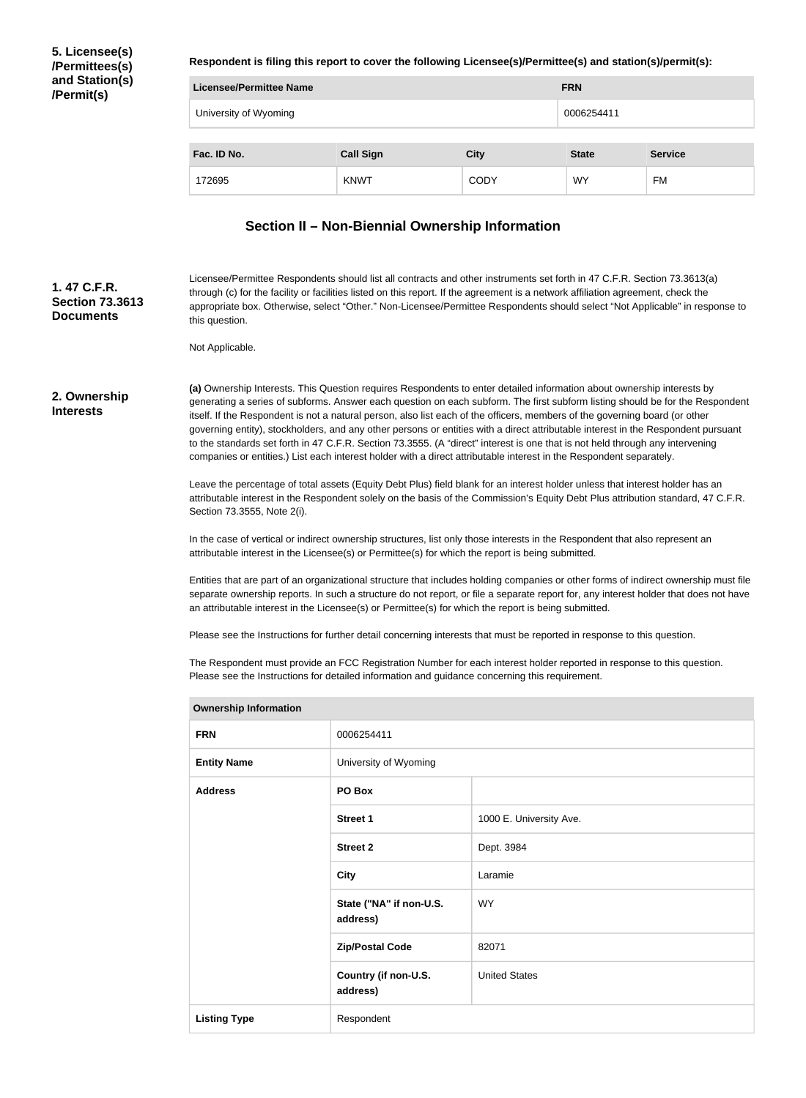**5. Licensee(s) /Permittees(s) and Station(s) /Permit(s)**

**Respondent is filing this report to cover the following Licensee(s)/Permittee(s) and station(s)/permit(s):**

| <b>Licensee/Permittee Name</b> | <b>FRN</b>       |             |              |                |
|--------------------------------|------------------|-------------|--------------|----------------|
| University of Wyoming          |                  |             | 0006254411   |                |
| Fac. ID No.                    | <b>Call Sign</b> | <b>City</b> | <b>State</b> | <b>Service</b> |
| 172695                         | <b>KNWT</b>      | <b>CODY</b> | <b>WY</b>    | FM             |

#### **Section II – Non-Biennial Ownership Information**

**1. 47 C.F.R. Section 73.3613 Documents**

Licensee/Permittee Respondents should list all contracts and other instruments set forth in 47 C.F.R. Section 73.3613(a) through (c) for the facility or facilities listed on this report. If the agreement is a network affiliation agreement, check the appropriate box. Otherwise, select "Other." Non-Licensee/Permittee Respondents should select "Not Applicable" in response to this question.

Not Applicable.

#### **2. Ownership Interests**

**(a)** Ownership Interests. This Question requires Respondents to enter detailed information about ownership interests by generating a series of subforms. Answer each question on each subform. The first subform listing should be for the Respondent itself. If the Respondent is not a natural person, also list each of the officers, members of the governing board (or other governing entity), stockholders, and any other persons or entities with a direct attributable interest in the Respondent pursuant to the standards set forth in 47 C.F.R. Section 73.3555. (A "direct" interest is one that is not held through any intervening companies or entities.) List each interest holder with a direct attributable interest in the Respondent separately.

Leave the percentage of total assets (Equity Debt Plus) field blank for an interest holder unless that interest holder has an attributable interest in the Respondent solely on the basis of the Commission's Equity Debt Plus attribution standard, 47 C.F.R. Section 73.3555, Note 2(i).

In the case of vertical or indirect ownership structures, list only those interests in the Respondent that also represent an attributable interest in the Licensee(s) or Permittee(s) for which the report is being submitted.

Entities that are part of an organizational structure that includes holding companies or other forms of indirect ownership must file separate ownership reports. In such a structure do not report, or file a separate report for, any interest holder that does not have an attributable interest in the Licensee(s) or Permittee(s) for which the report is being submitted.

Please see the Instructions for further detail concerning interests that must be reported in response to this question.

The Respondent must provide an FCC Registration Number for each interest holder reported in response to this question. Please see the Instructions for detailed information and guidance concerning this requirement.

| <b>Ownership Information</b> |                                     |                         |
|------------------------------|-------------------------------------|-------------------------|
| <b>FRN</b>                   | 0006254411                          |                         |
| <b>Entity Name</b>           | University of Wyoming               |                         |
| <b>Address</b>               | PO Box                              |                         |
|                              | <b>Street 1</b>                     | 1000 E. University Ave. |
|                              | <b>Street 2</b>                     | Dept. 3984              |
|                              | <b>City</b>                         | Laramie                 |
|                              | State ("NA" if non-U.S.<br>address) | WY.                     |
|                              | <b>Zip/Postal Code</b>              | 82071                   |
|                              | Country (if non-U.S.<br>address)    | <b>United States</b>    |
| <b>Listing Type</b>          | Respondent                          |                         |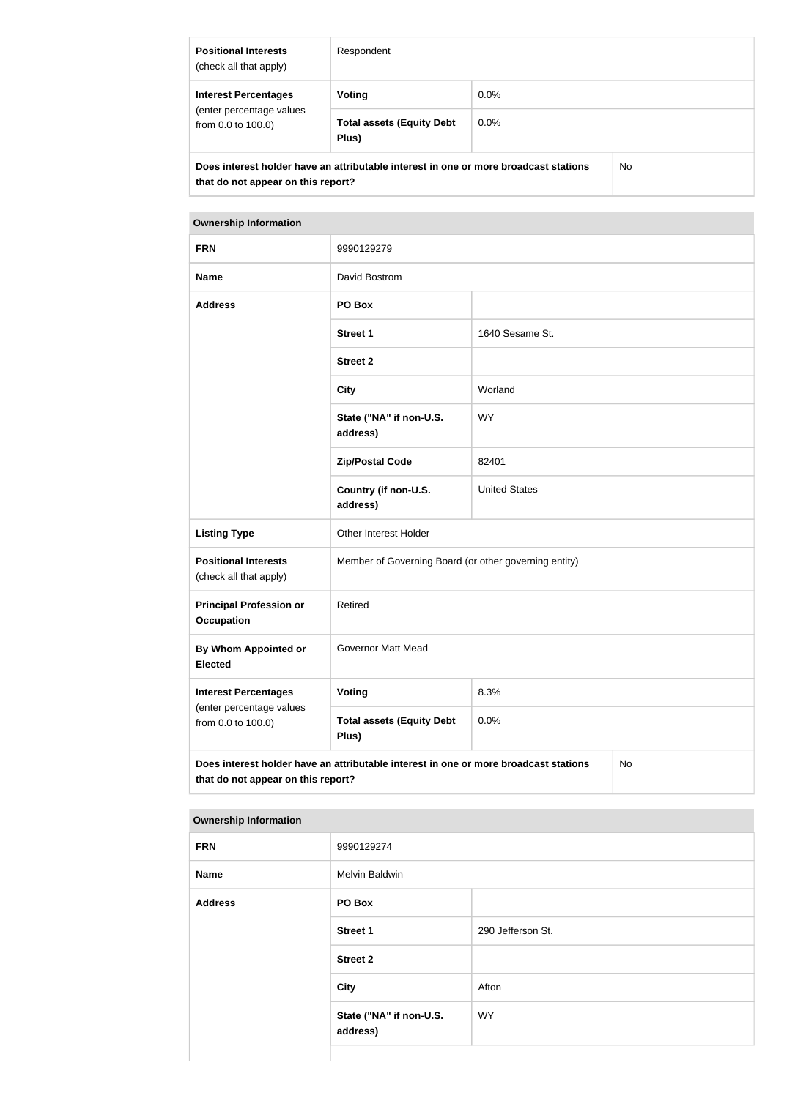| <b>Positional Interests</b><br>(check all that apply)                                                                      | Respondent                                |         |     |
|----------------------------------------------------------------------------------------------------------------------------|-------------------------------------------|---------|-----|
| <b>Interest Percentages</b><br>(enter percentage values<br>from $0.0$ to $100.0$ )                                         | Voting                                    | $0.0\%$ |     |
|                                                                                                                            | <b>Total assets (Equity Debt</b><br>Plus) | $0.0\%$ |     |
| Does interest holder have an attributable interest in one or more broadcast stations<br>that do not appear on this report? |                                           |         | No. |

| <b>FRN</b>                                                                                                                       | 9990129279                                            |                      |  |  |
|----------------------------------------------------------------------------------------------------------------------------------|-------------------------------------------------------|----------------------|--|--|
| <b>Name</b>                                                                                                                      | David Bostrom                                         |                      |  |  |
| <b>Address</b>                                                                                                                   | PO Box                                                |                      |  |  |
|                                                                                                                                  | <b>Street 1</b>                                       | 1640 Sesame St.      |  |  |
|                                                                                                                                  | <b>Street 2</b>                                       |                      |  |  |
|                                                                                                                                  | <b>City</b>                                           | Worland              |  |  |
|                                                                                                                                  | State ("NA" if non-U.S.<br>address)                   | <b>WY</b>            |  |  |
|                                                                                                                                  | <b>Zip/Postal Code</b>                                | 82401                |  |  |
|                                                                                                                                  | Country (if non-U.S.<br>address)                      | <b>United States</b> |  |  |
| <b>Listing Type</b>                                                                                                              | Other Interest Holder                                 |                      |  |  |
| <b>Positional Interests</b><br>(check all that apply)                                                                            | Member of Governing Board (or other governing entity) |                      |  |  |
| <b>Principal Profession or</b><br><b>Occupation</b>                                                                              | Retired                                               |                      |  |  |
| By Whom Appointed or<br><b>Elected</b>                                                                                           | <b>Governor Matt Mead</b>                             |                      |  |  |
| <b>Interest Percentages</b>                                                                                                      | Voting                                                | 8.3%                 |  |  |
| (enter percentage values<br>from 0.0 to 100.0)                                                                                   | <b>Total assets (Equity Debt</b><br>Plus)             | 0.0%                 |  |  |
| Does interest holder have an attributable interest in one or more broadcast stations<br>No<br>that do not appear on this report? |                                                       |                      |  |  |

| <b>FRN</b>     | 9990129274                          |                   |
|----------------|-------------------------------------|-------------------|
| <b>Name</b>    | Melvin Baldwin                      |                   |
| <b>Address</b> | PO Box                              |                   |
|                | <b>Street 1</b>                     | 290 Jefferson St. |
|                | <b>Street 2</b>                     |                   |
|                | <b>City</b>                         | Afton             |
|                | State ("NA" if non-U.S.<br>address) | <b>WY</b>         |
|                |                                     |                   |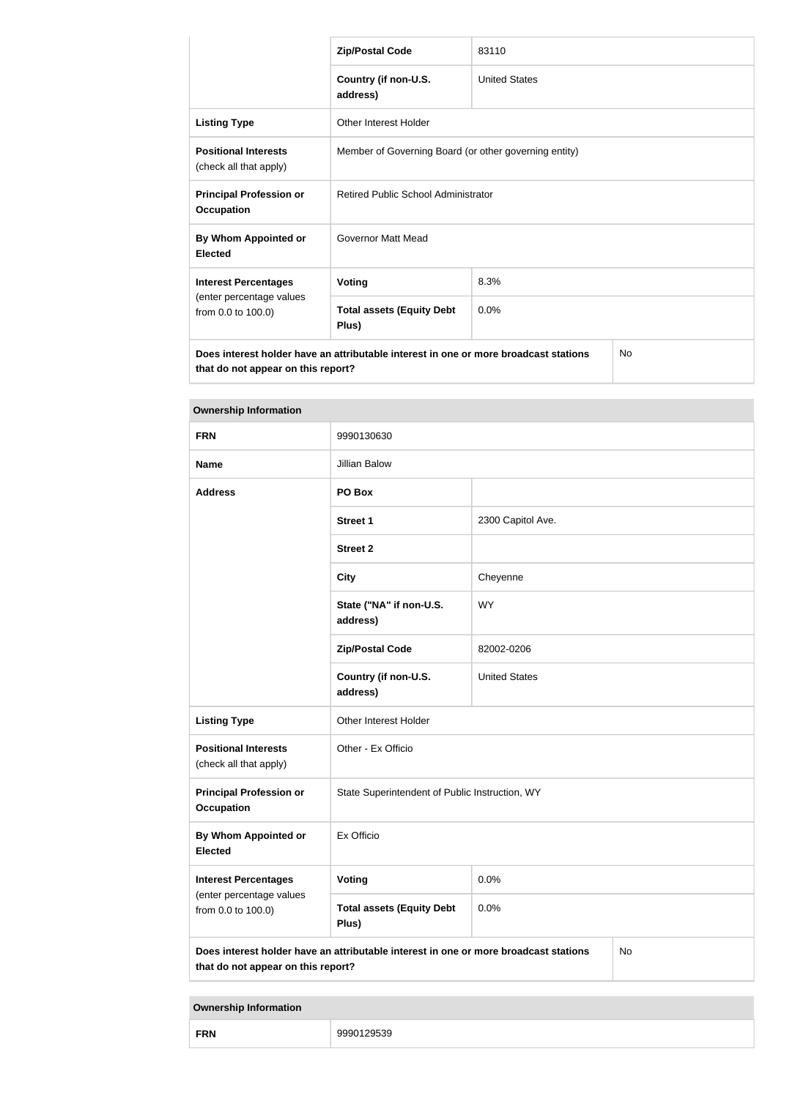|                                                                                                                            | <b>Zip/Postal Code</b>                                | 83110                |           |
|----------------------------------------------------------------------------------------------------------------------------|-------------------------------------------------------|----------------------|-----------|
|                                                                                                                            | Country (if non-U.S.<br>address)                      | <b>United States</b> |           |
| <b>Listing Type</b>                                                                                                        | Other Interest Holder                                 |                      |           |
| <b>Positional Interests</b><br>(check all that apply)                                                                      | Member of Governing Board (or other governing entity) |                      |           |
| <b>Principal Profession or</b><br><b>Occupation</b>                                                                        | Retired Public School Administrator                   |                      |           |
| By Whom Appointed or<br><b>Elected</b>                                                                                     | Governor Matt Mead                                    |                      |           |
| <b>Interest Percentages</b>                                                                                                | <b>Voting</b><br>8.3%                                 |                      |           |
| (enter percentage values<br>from 0.0 to 100.0)                                                                             | <b>Total assets (Equity Debt</b><br>Plus)             | 0.0%                 |           |
| Does interest holder have an attributable interest in one or more broadcast stations<br>that do not appear on this report? |                                                       |                      | <b>No</b> |

| <b>Ownership Information</b>                                                                                                     |                                                |                      |  |  |
|----------------------------------------------------------------------------------------------------------------------------------|------------------------------------------------|----------------------|--|--|
| <b>FRN</b>                                                                                                                       | 9990130630                                     |                      |  |  |
| <b>Name</b>                                                                                                                      | Jillian Balow                                  |                      |  |  |
| <b>Address</b>                                                                                                                   | PO Box                                         |                      |  |  |
|                                                                                                                                  | <b>Street 1</b>                                | 2300 Capitol Ave.    |  |  |
|                                                                                                                                  | <b>Street 2</b>                                |                      |  |  |
|                                                                                                                                  | <b>City</b>                                    | Cheyenne             |  |  |
|                                                                                                                                  | State ("NA" if non-U.S.<br>address)            | <b>WY</b>            |  |  |
|                                                                                                                                  | <b>Zip/Postal Code</b>                         | 82002-0206           |  |  |
|                                                                                                                                  | Country (if non-U.S.<br>address)               | <b>United States</b> |  |  |
| <b>Listing Type</b>                                                                                                              | Other Interest Holder                          |                      |  |  |
| <b>Positional Interests</b><br>(check all that apply)                                                                            | Other - Ex Officio                             |                      |  |  |
| <b>Principal Profession or</b><br><b>Occupation</b>                                                                              | State Superintendent of Public Instruction, WY |                      |  |  |
| By Whom Appointed or<br><b>Elected</b>                                                                                           | Ex Officio                                     |                      |  |  |
| <b>Interest Percentages</b>                                                                                                      | Voting                                         | 0.0%                 |  |  |
| (enter percentage values<br>from 0.0 to 100.0)                                                                                   | <b>Total assets (Equity Debt</b><br>Plus)      | 0.0%                 |  |  |
| Does interest holder have an attributable interest in one or more broadcast stations<br>No<br>that do not appear on this report? |                                                |                      |  |  |

| <b>FRN</b> | ノロト |
|------------|-----|
|            | ≺⊽  |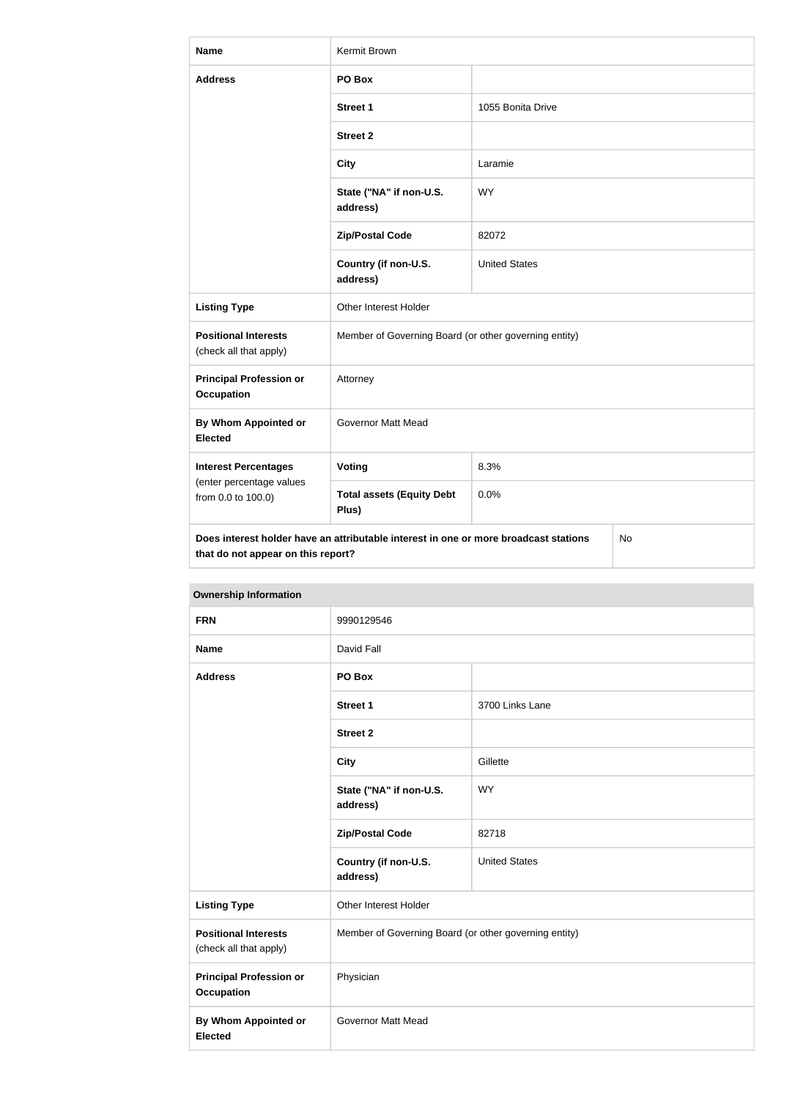| Name                                                  | Kermit Brown                                                                         |                      |           |
|-------------------------------------------------------|--------------------------------------------------------------------------------------|----------------------|-----------|
| <b>Address</b>                                        | PO Box                                                                               |                      |           |
|                                                       | <b>Street 1</b>                                                                      | 1055 Bonita Drive    |           |
|                                                       | <b>Street 2</b>                                                                      |                      |           |
|                                                       | <b>City</b>                                                                          | Laramie              |           |
|                                                       | State ("NA" if non-U.S.<br>address)                                                  | <b>WY</b>            |           |
|                                                       | <b>Zip/Postal Code</b>                                                               | 82072                |           |
|                                                       | Country (if non-U.S.<br>address)                                                     | <b>United States</b> |           |
| <b>Listing Type</b>                                   | Other Interest Holder                                                                |                      |           |
| <b>Positional Interests</b><br>(check all that apply) | Member of Governing Board (or other governing entity)                                |                      |           |
| <b>Principal Profession or</b><br><b>Occupation</b>   | Attorney                                                                             |                      |           |
| By Whom Appointed or<br><b>Elected</b>                | <b>Governor Matt Mead</b>                                                            |                      |           |
| <b>Interest Percentages</b>                           | <b>Voting</b>                                                                        | 8.3%                 |           |
| (enter percentage values<br>from 0.0 to 100.0)        | <b>Total assets (Equity Debt</b><br>Plus)                                            | 0.0%                 |           |
| that do not appear on this report?                    | Does interest holder have an attributable interest in one or more broadcast stations |                      | <b>No</b> |

| <b>Ownership Information</b>                          |                                                       |                      |  |
|-------------------------------------------------------|-------------------------------------------------------|----------------------|--|
| <b>FRN</b>                                            | 9990129546                                            |                      |  |
| <b>Name</b>                                           | David Fall                                            |                      |  |
| <b>Address</b>                                        | PO Box                                                |                      |  |
|                                                       | <b>Street 1</b>                                       | 3700 Links Lane      |  |
|                                                       | <b>Street 2</b>                                       |                      |  |
|                                                       | <b>City</b>                                           | Gillette             |  |
|                                                       | State ("NA" if non-U.S.<br>address)                   | <b>WY</b>            |  |
|                                                       | <b>Zip/Postal Code</b>                                | 82718                |  |
|                                                       | Country (if non-U.S.<br>address)                      | <b>United States</b> |  |
| <b>Listing Type</b>                                   | Other Interest Holder                                 |                      |  |
| <b>Positional Interests</b><br>(check all that apply) | Member of Governing Board (or other governing entity) |                      |  |
| <b>Principal Profession or</b><br><b>Occupation</b>   | Physician                                             |                      |  |
| <b>By Whom Appointed or</b><br><b>Elected</b>         | <b>Governor Matt Mead</b>                             |                      |  |
|                                                       |                                                       |                      |  |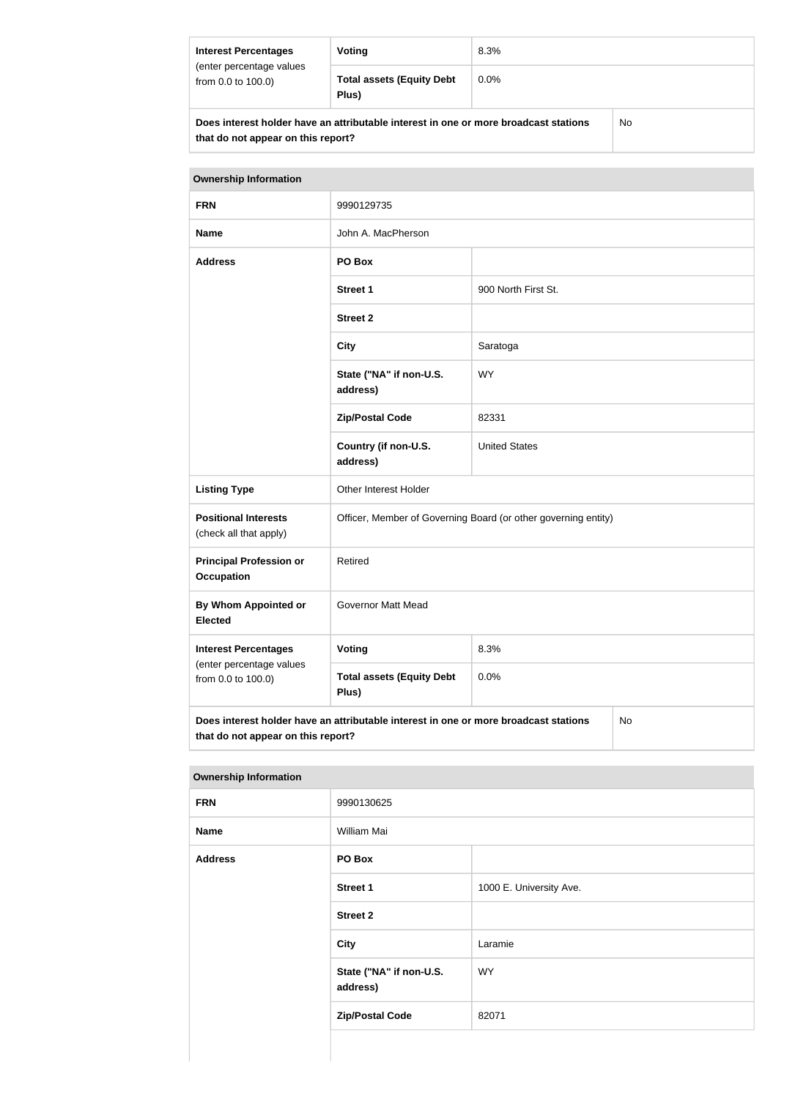| <b>Interest Percentages</b>                                                          | Voting                                    | 8.3%    |  |
|--------------------------------------------------------------------------------------|-------------------------------------------|---------|--|
| (enter percentage values<br>from 0.0 to 100.0)                                       | <b>Total assets (Equity Debt</b><br>Plus) | $0.0\%$ |  |
| Does interest holder have an attributable interest in one or more broadcast stations |                                           | No      |  |

**that do not appear on this report?**

| <b>Ownership Information</b>                                                                                                            |                                                                |                      |  |
|-----------------------------------------------------------------------------------------------------------------------------------------|----------------------------------------------------------------|----------------------|--|
| <b>FRN</b>                                                                                                                              | 9990129735                                                     |                      |  |
| <b>Name</b>                                                                                                                             | John A. MacPherson                                             |                      |  |
| <b>Address</b>                                                                                                                          | PO Box                                                         |                      |  |
|                                                                                                                                         | <b>Street 1</b>                                                | 900 North First St.  |  |
|                                                                                                                                         | <b>Street 2</b>                                                |                      |  |
|                                                                                                                                         | <b>City</b>                                                    | Saratoga             |  |
|                                                                                                                                         | State ("NA" if non-U.S.<br>address)                            | <b>WY</b>            |  |
|                                                                                                                                         | <b>Zip/Postal Code</b>                                         | 82331                |  |
|                                                                                                                                         | Country (if non-U.S.<br>address)                               | <b>United States</b> |  |
| <b>Listing Type</b>                                                                                                                     | Other Interest Holder                                          |                      |  |
| <b>Positional Interests</b><br>(check all that apply)                                                                                   | Officer, Member of Governing Board (or other governing entity) |                      |  |
| <b>Principal Profession or</b><br><b>Occupation</b>                                                                                     | Retired                                                        |                      |  |
| By Whom Appointed or<br><b>Elected</b>                                                                                                  | Governor Matt Mead                                             |                      |  |
| <b>Interest Percentages</b>                                                                                                             | Voting                                                         | 8.3%                 |  |
| (enter percentage values<br>from 0.0 to 100.0)                                                                                          | <b>Total assets (Equity Debt</b><br>Plus)                      | 0.0%                 |  |
| Does interest holder have an attributable interest in one or more broadcast stations<br><b>No</b><br>that do not appear on this report? |                                                                |                      |  |

| <b>Ownership Information</b> |                                     |                         |
|------------------------------|-------------------------------------|-------------------------|
| <b>FRN</b>                   | 9990130625                          |                         |
| <b>Name</b>                  | William Mai                         |                         |
| <b>Address</b>               | PO Box                              |                         |
|                              | <b>Street 1</b>                     | 1000 E. University Ave. |
|                              | <b>Street 2</b>                     |                         |
|                              | <b>City</b>                         | Laramie                 |
|                              | State ("NA" if non-U.S.<br>address) | <b>WY</b>               |
|                              | <b>Zip/Postal Code</b><br>82071     |                         |
|                              |                                     |                         |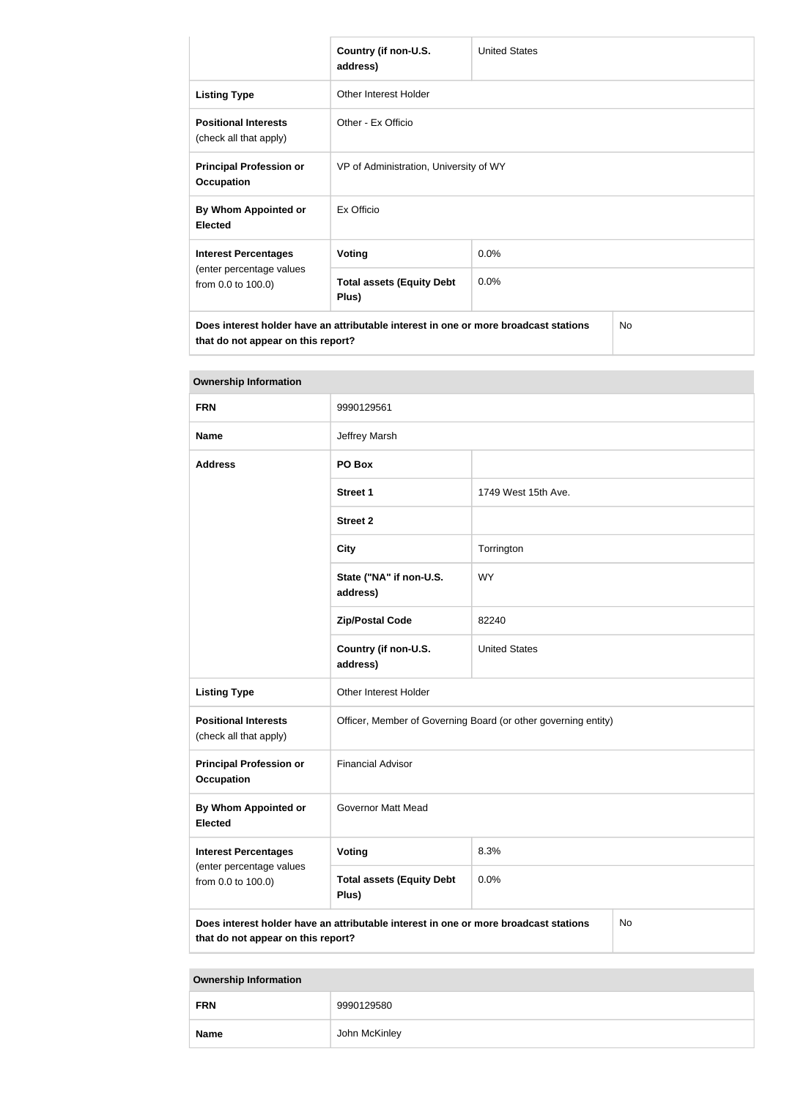|                                                                                                                            | Country (if non-U.S.<br>address)                     | <b>United States</b> |  |  |
|----------------------------------------------------------------------------------------------------------------------------|------------------------------------------------------|----------------------|--|--|
| <b>Listing Type</b>                                                                                                        | Other Interest Holder                                |                      |  |  |
| <b>Positional Interests</b><br>(check all that apply)                                                                      | Other - Ex Officio                                   |                      |  |  |
| <b>Principal Profession or</b><br><b>Occupation</b>                                                                        | VP of Administration, University of WY               |                      |  |  |
| By Whom Appointed or<br><b>Elected</b>                                                                                     | Ex Officio                                           |                      |  |  |
| <b>Interest Percentages</b>                                                                                                | Voting                                               | 0.0%                 |  |  |
| (enter percentage values<br>from 0.0 to 100.0)                                                                             | <b>Total assets (Equity Debt</b><br>$0.0\%$<br>Plus) |                      |  |  |
| Does interest holder have an attributable interest in one or more broadcast stations<br>that do not appear on this report? |                                                      | <b>No</b>            |  |  |

| <b>Ownership Information</b>                                                                                                     |                                                                |                      |  |  |
|----------------------------------------------------------------------------------------------------------------------------------|----------------------------------------------------------------|----------------------|--|--|
| <b>FRN</b>                                                                                                                       | 9990129561                                                     |                      |  |  |
| <b>Name</b>                                                                                                                      | Jeffrey Marsh                                                  |                      |  |  |
| <b>Address</b>                                                                                                                   | PO Box                                                         |                      |  |  |
|                                                                                                                                  | <b>Street 1</b>                                                | 1749 West 15th Ave.  |  |  |
|                                                                                                                                  | <b>Street 2</b>                                                |                      |  |  |
|                                                                                                                                  | <b>City</b>                                                    | Torrington           |  |  |
|                                                                                                                                  | State ("NA" if non-U.S.<br><b>WY</b><br>address)               |                      |  |  |
|                                                                                                                                  | <b>Zip/Postal Code</b>                                         | 82240                |  |  |
|                                                                                                                                  | Country (if non-U.S.<br>address)                               | <b>United States</b> |  |  |
| <b>Listing Type</b>                                                                                                              | Other Interest Holder                                          |                      |  |  |
| <b>Positional Interests</b><br>(check all that apply)                                                                            | Officer, Member of Governing Board (or other governing entity) |                      |  |  |
| <b>Principal Profession or</b><br><b>Occupation</b>                                                                              | <b>Financial Advisor</b>                                       |                      |  |  |
| By Whom Appointed or<br><b>Elected</b>                                                                                           | <b>Governor Matt Mead</b>                                      |                      |  |  |
| <b>Interest Percentages</b>                                                                                                      | <b>Voting</b>                                                  | 8.3%                 |  |  |
| (enter percentage values<br>from 0.0 to 100.0)                                                                                   | <b>Total assets (Equity Debt</b><br>Plus)                      | 0.0%                 |  |  |
| Does interest holder have an attributable interest in one or more broadcast stations<br>No<br>that do not appear on this report? |                                                                |                      |  |  |

**Name** John McKinley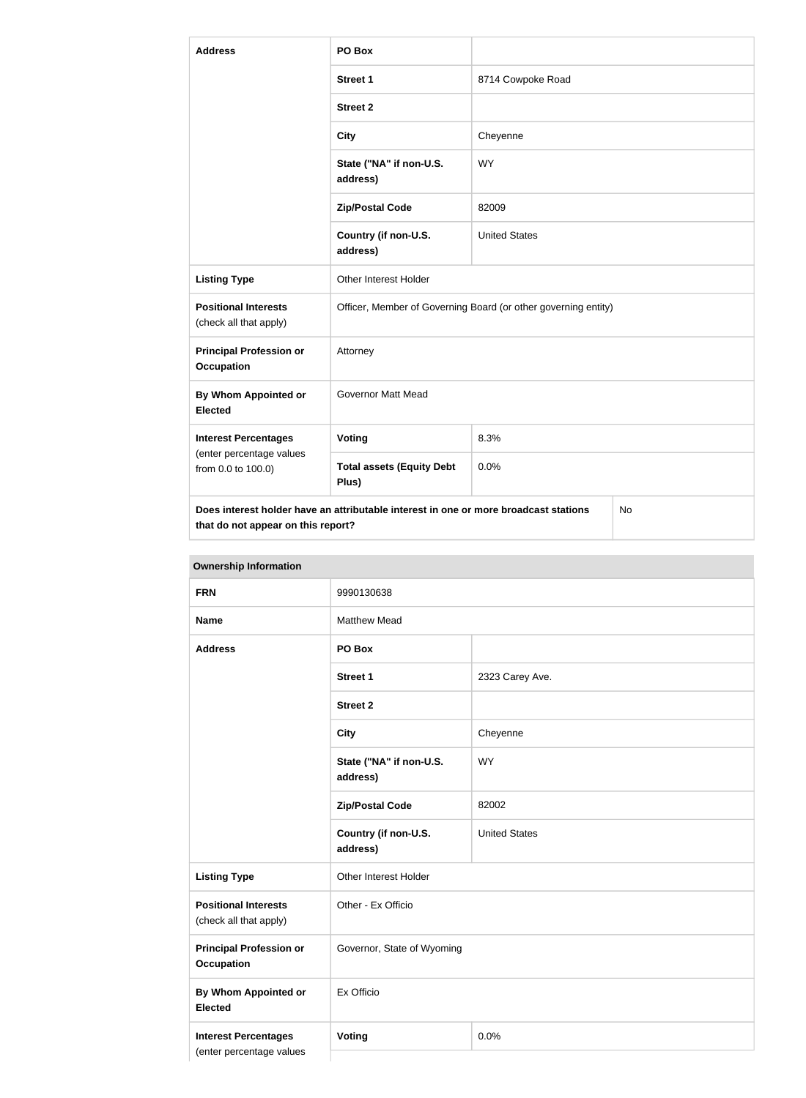| <b>Address</b>                                        | PO Box                                                                                     |                      |  |  |
|-------------------------------------------------------|--------------------------------------------------------------------------------------------|----------------------|--|--|
|                                                       | <b>Street 1</b>                                                                            | 8714 Cowpoke Road    |  |  |
|                                                       | <b>Street 2</b>                                                                            |                      |  |  |
|                                                       | <b>City</b>                                                                                | Cheyenne             |  |  |
|                                                       | State ("NA" if non-U.S.<br>address)                                                        | <b>WY</b>            |  |  |
|                                                       | <b>Zip/Postal Code</b>                                                                     | 82009                |  |  |
|                                                       | Country (if non-U.S.<br>address)                                                           | <b>United States</b> |  |  |
| <b>Listing Type</b>                                   | Other Interest Holder                                                                      |                      |  |  |
| <b>Positional Interests</b><br>(check all that apply) | Officer, Member of Governing Board (or other governing entity)                             |                      |  |  |
| <b>Principal Profession or</b><br><b>Occupation</b>   | Attorney                                                                                   |                      |  |  |
| <b>By Whom Appointed or</b><br><b>Elected</b>         | <b>Governor Matt Mead</b>                                                                  |                      |  |  |
| <b>Interest Percentages</b>                           | Voting                                                                                     | 8.3%                 |  |  |
| (enter percentage values<br>from 0.0 to 100.0)        | <b>Total assets (Equity Debt</b><br>Plus)                                                  | 0.0%                 |  |  |
| that do not appear on this report?                    | Does interest holder have an attributable interest in one or more broadcast stations<br>No |                      |  |  |

| UWIIGI JIIIN IIIIUI IIIUUUII                            |                                     |                      |
|---------------------------------------------------------|-------------------------------------|----------------------|
| <b>FRN</b>                                              | 9990130638                          |                      |
| <b>Name</b>                                             | <b>Matthew Mead</b>                 |                      |
| <b>Address</b>                                          | PO Box                              |                      |
|                                                         | <b>Street 1</b>                     | 2323 Carey Ave.      |
|                                                         | <b>Street 2</b>                     |                      |
|                                                         | <b>City</b>                         | Cheyenne             |
|                                                         | State ("NA" if non-U.S.<br>address) | <b>WY</b>            |
|                                                         | <b>Zip/Postal Code</b>              | 82002                |
|                                                         | Country (if non-U.S.<br>address)    | <b>United States</b> |
| <b>Listing Type</b>                                     | Other Interest Holder               |                      |
| <b>Positional Interests</b><br>(check all that apply)   | Other - Ex Officio                  |                      |
| <b>Principal Profession or</b><br><b>Occupation</b>     | Governor, State of Wyoming          |                      |
| By Whom Appointed or<br><b>Elected</b>                  | Ex Officio                          |                      |
| <b>Interest Percentages</b><br>(enter percentage values | <b>Voting</b><br>0.0%               |                      |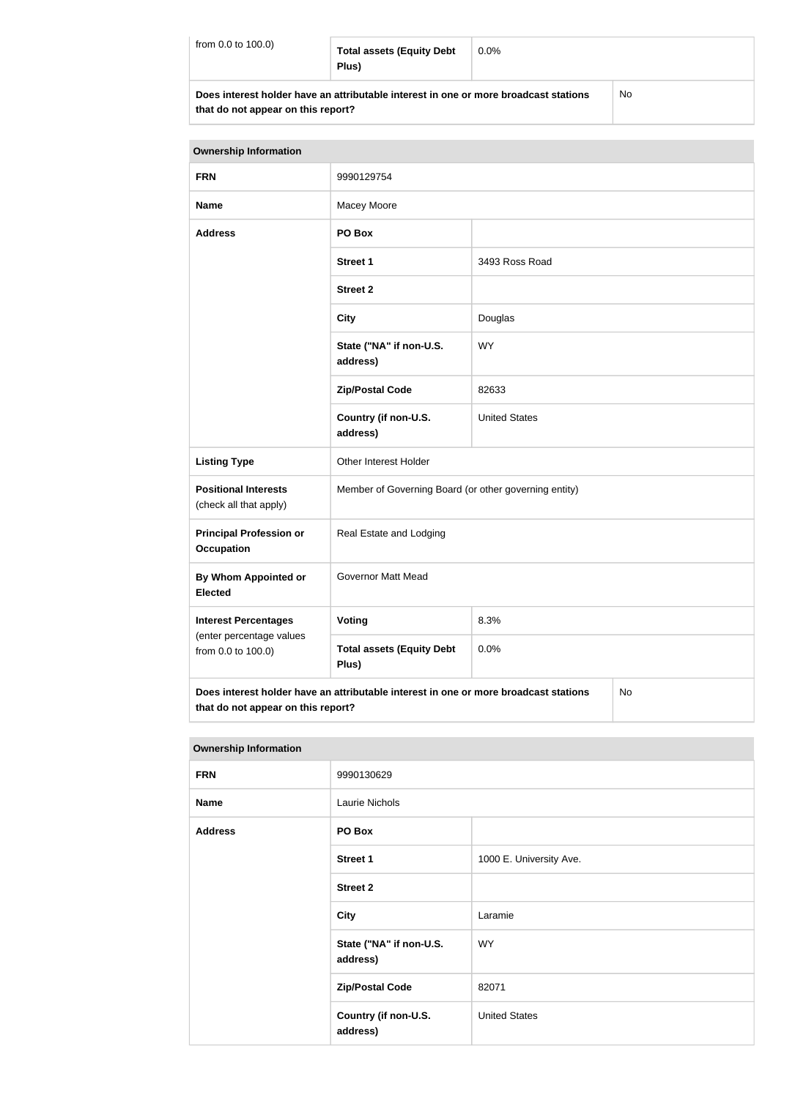| from $0.0$ to $100.0$ )                                                              | <b>Total assets (Equity Debt</b><br>Plus) | $0.0\%$ |    |
|--------------------------------------------------------------------------------------|-------------------------------------------|---------|----|
| Does interest holder have an attributable interest in one or more broadcast stations |                                           |         | No |

**that do not appear on this report?**

| <b>Ownership Information</b>                                                                                                     |                                                       |                      |  |
|----------------------------------------------------------------------------------------------------------------------------------|-------------------------------------------------------|----------------------|--|
| <b>FRN</b>                                                                                                                       | 9990129754                                            |                      |  |
| <b>Name</b>                                                                                                                      | Macey Moore                                           |                      |  |
| <b>Address</b>                                                                                                                   | PO Box                                                |                      |  |
|                                                                                                                                  | <b>Street 1</b>                                       | 3493 Ross Road       |  |
|                                                                                                                                  | <b>Street 2</b>                                       |                      |  |
|                                                                                                                                  | <b>City</b>                                           | Douglas              |  |
|                                                                                                                                  | State ("NA" if non-U.S.<br>address)                   | <b>WY</b>            |  |
|                                                                                                                                  | <b>Zip/Postal Code</b>                                | 82633                |  |
|                                                                                                                                  | Country (if non-U.S.<br>address)                      | <b>United States</b> |  |
| <b>Listing Type</b>                                                                                                              | Other Interest Holder                                 |                      |  |
| <b>Positional Interests</b><br>(check all that apply)                                                                            | Member of Governing Board (or other governing entity) |                      |  |
| <b>Principal Profession or</b><br>Occupation                                                                                     | Real Estate and Lodging                               |                      |  |
| By Whom Appointed or<br><b>Elected</b>                                                                                           | <b>Governor Matt Mead</b>                             |                      |  |
| <b>Interest Percentages</b>                                                                                                      | Voting                                                | 8.3%                 |  |
| (enter percentage values<br>from 0.0 to 100.0)                                                                                   | <b>Total assets (Equity Debt</b><br>Plus)             | 0.0%                 |  |
| Does interest holder have an attributable interest in one or more broadcast stations<br>No<br>that do not appear on this report? |                                                       |                      |  |

| <b>Ownership Information</b> |                                     |                         |
|------------------------------|-------------------------------------|-------------------------|
| <b>FRN</b>                   | 9990130629                          |                         |
| <b>Name</b>                  | Laurie Nichols                      |                         |
| <b>Address</b>               | PO Box                              |                         |
|                              | <b>Street 1</b>                     | 1000 E. University Ave. |
|                              | <b>Street 2</b>                     |                         |
|                              | <b>City</b>                         | Laramie                 |
|                              | State ("NA" if non-U.S.<br>address) | <b>WY</b>               |
|                              | <b>Zip/Postal Code</b>              | 82071                   |
|                              | Country (if non-U.S.<br>address)    | <b>United States</b>    |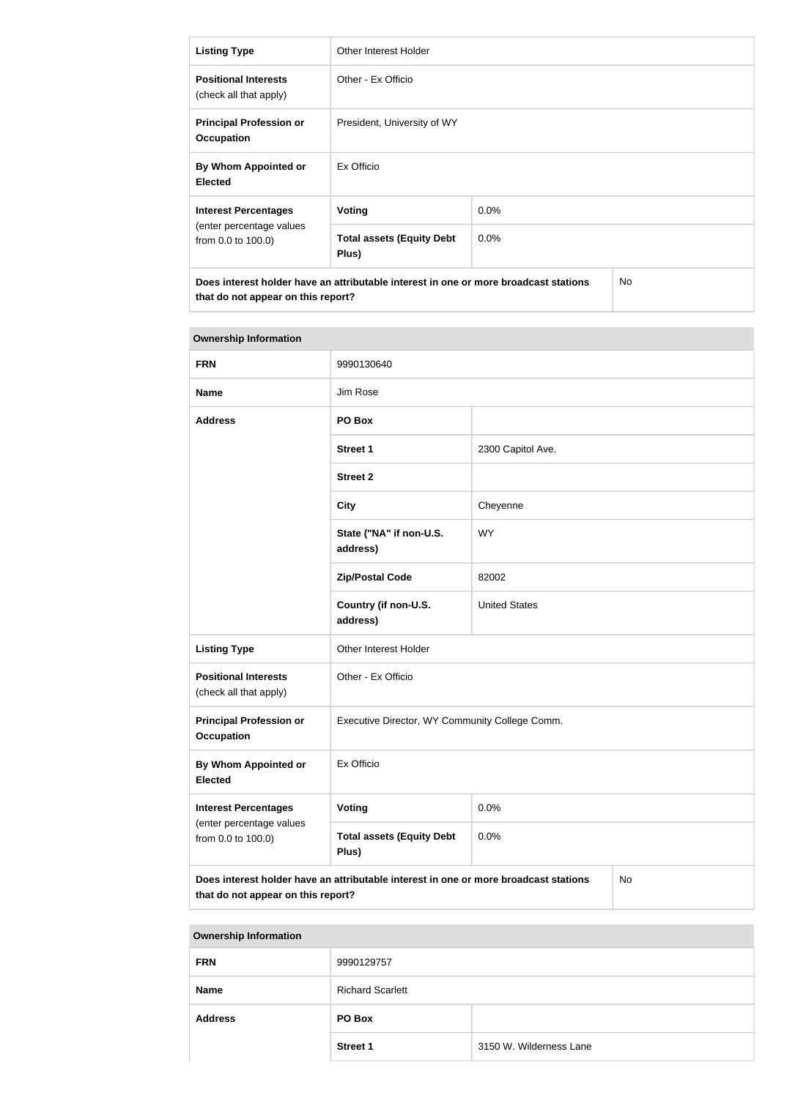| <b>Listing Type</b>                                                                                    | Other Interest Holder                                                                |         |           |
|--------------------------------------------------------------------------------------------------------|--------------------------------------------------------------------------------------|---------|-----------|
| <b>Positional Interests</b><br>(check all that apply)                                                  | Other - Ex Officio                                                                   |         |           |
| <b>Principal Profession or</b><br><b>Occupation</b>                                                    | President, University of WY                                                          |         |           |
| By Whom Appointed or<br><b>Elected</b>                                                                 | Ex Officio                                                                           |         |           |
| <b>Interest Percentages</b>                                                                            | Voting                                                                               | $0.0\%$ |           |
| (enter percentage values<br><b>Total assets (Equity Debt</b><br>$0.0\%$<br>from 0.0 to 100.0)<br>Plus) |                                                                                      |         |           |
| that do not appear on this report?                                                                     | Does interest holder have an attributable interest in one or more broadcast stations |         | <b>No</b> |

| <b>Ownership Information</b>                                                  |                                                                                      |                      |           |
|-------------------------------------------------------------------------------|--------------------------------------------------------------------------------------|----------------------|-----------|
| <b>FRN</b>                                                                    | 9990130640                                                                           |                      |           |
| <b>Name</b>                                                                   | Jim Rose                                                                             |                      |           |
| <b>Address</b>                                                                | PO Box                                                                               |                      |           |
|                                                                               | <b>Street 1</b>                                                                      | 2300 Capitol Ave.    |           |
|                                                                               | <b>Street 2</b>                                                                      |                      |           |
|                                                                               | <b>City</b>                                                                          | Cheyenne             |           |
|                                                                               | State ("NA" if non-U.S.<br>address)                                                  | <b>WY</b>            |           |
|                                                                               | <b>Zip/Postal Code</b>                                                               | 82002                |           |
|                                                                               | Country (if non-U.S.<br>address)                                                     | <b>United States</b> |           |
| <b>Listing Type</b>                                                           | Other Interest Holder                                                                |                      |           |
| <b>Positional Interests</b><br>(check all that apply)                         | Other - Ex Officio                                                                   |                      |           |
| <b>Principal Profession or</b><br><b>Occupation</b>                           | Executive Director, WY Community College Comm.                                       |                      |           |
| <b>By Whom Appointed or</b><br><b>Elected</b>                                 | Ex Officio                                                                           |                      |           |
| <b>Interest Percentages</b><br>(enter percentage values<br>from 0.0 to 100.0) | Voting                                                                               | 0.0%                 |           |
|                                                                               | <b>Total assets (Equity Debt</b><br>Plus)                                            | 0.0%                 |           |
| that do not appear on this report?                                            | Does interest holder have an attributable interest in one or more broadcast stations |                      | <b>No</b> |

| <b>Ownership Information</b> |                         |                         |
|------------------------------|-------------------------|-------------------------|
| <b>FRN</b>                   | 9990129757              |                         |
| <b>Name</b>                  | <b>Richard Scarlett</b> |                         |
| <b>Address</b>               | PO Box                  |                         |
|                              | <b>Street 1</b>         | 3150 W. Wilderness Lane |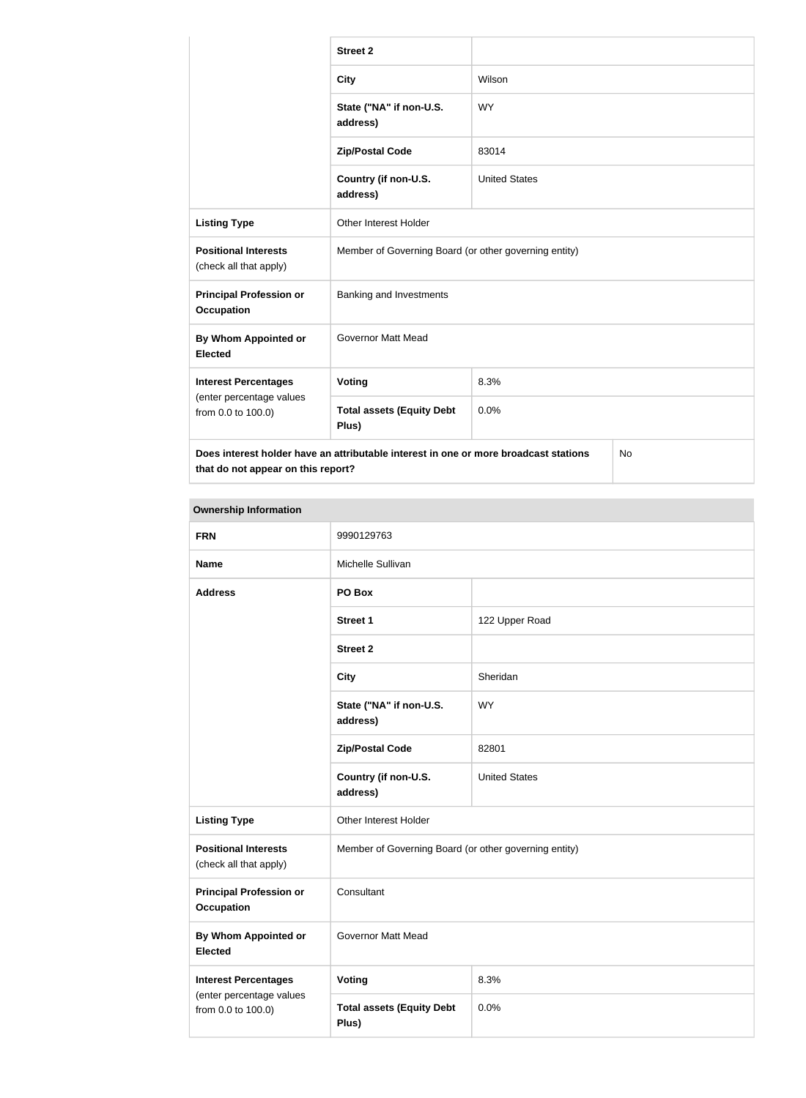|                                                       | <b>Street 2</b>                                                                      |                      |           |
|-------------------------------------------------------|--------------------------------------------------------------------------------------|----------------------|-----------|
|                                                       | <b>City</b>                                                                          | Wilson               |           |
|                                                       | State ("NA" if non-U.S.<br>address)                                                  | <b>WY</b>            |           |
|                                                       | <b>Zip/Postal Code</b>                                                               | 83014                |           |
|                                                       | Country (if non-U.S.<br>address)                                                     | <b>United States</b> |           |
| <b>Listing Type</b>                                   | Other Interest Holder                                                                |                      |           |
| <b>Positional Interests</b><br>(check all that apply) | Member of Governing Board (or other governing entity)                                |                      |           |
| <b>Principal Profession or</b><br><b>Occupation</b>   | Banking and Investments                                                              |                      |           |
| <b>By Whom Appointed or</b><br><b>Elected</b>         | <b>Governor Matt Mead</b>                                                            |                      |           |
| <b>Interest Percentages</b>                           | Voting                                                                               | 8.3%                 |           |
| (enter percentage values<br>from 0.0 to 100.0)        | <b>Total assets (Equity Debt</b><br>Plus)                                            | 0.0%                 |           |
| that do not appear on this report?                    | Does interest holder have an attributable interest in one or more broadcast stations |                      | <b>No</b> |

| <b>Ownership Information</b>                          |                                                       |                      |
|-------------------------------------------------------|-------------------------------------------------------|----------------------|
| <b>FRN</b>                                            | 9990129763                                            |                      |
| <b>Name</b>                                           | Michelle Sullivan                                     |                      |
| <b>Address</b>                                        | PO Box                                                |                      |
|                                                       | Street 1                                              | 122 Upper Road       |
|                                                       | <b>Street 2</b>                                       |                      |
|                                                       | <b>City</b>                                           | Sheridan             |
|                                                       | State ("NA" if non-U.S.<br>address)                   | <b>WY</b>            |
|                                                       | <b>Zip/Postal Code</b>                                | 82801                |
|                                                       | Country (if non-U.S.<br>address)                      | <b>United States</b> |
| <b>Listing Type</b>                                   | Other Interest Holder                                 |                      |
| <b>Positional Interests</b><br>(check all that apply) | Member of Governing Board (or other governing entity) |                      |
| <b>Principal Profession or</b><br><b>Occupation</b>   | Consultant                                            |                      |
| <b>By Whom Appointed or</b><br><b>Elected</b>         | <b>Governor Matt Mead</b>                             |                      |
| <b>Interest Percentages</b>                           | <b>Voting</b>                                         | 8.3%                 |
| (enter percentage values<br>from 0.0 to 100.0)        | <b>Total assets (Equity Debt</b><br>Plus)             | 0.0%                 |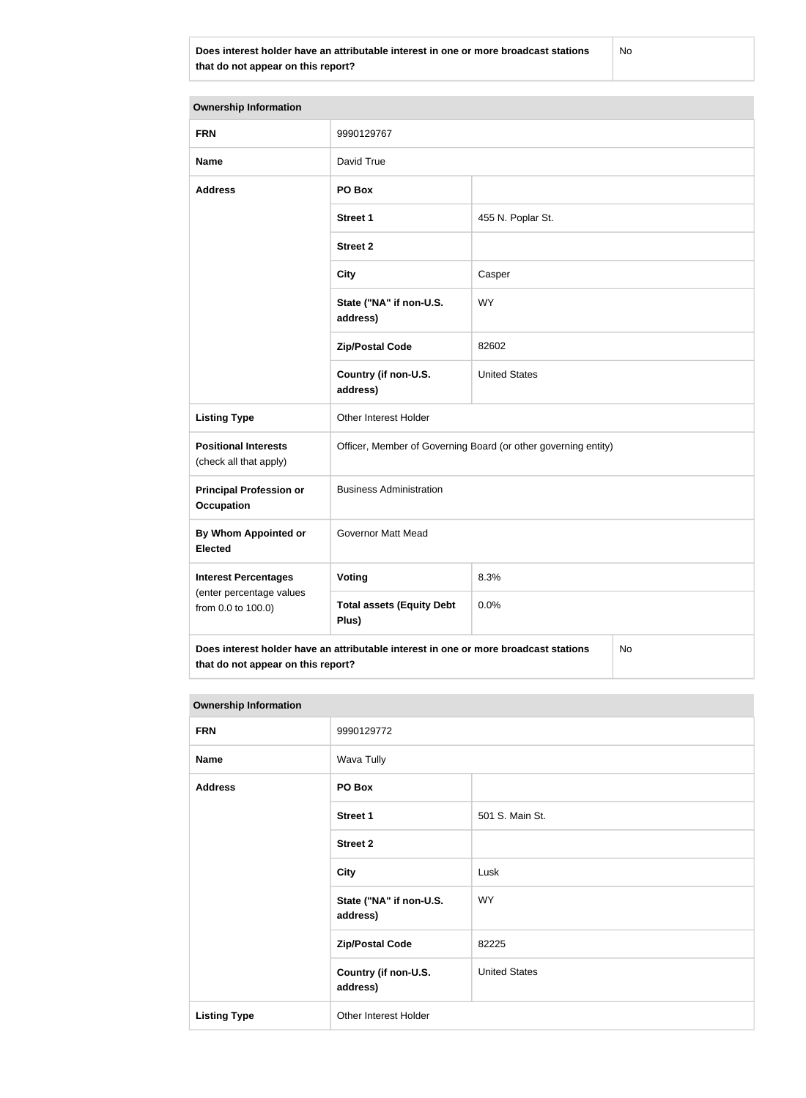**Does interest holder have an attributable interest in one or more broadcast stations that do not appear on this report?**

No

| <b>Ownership Information</b>                                                  |                                                                                      |                      |    |
|-------------------------------------------------------------------------------|--------------------------------------------------------------------------------------|----------------------|----|
| <b>FRN</b>                                                                    | 9990129767                                                                           |                      |    |
| <b>Name</b>                                                                   | David True                                                                           |                      |    |
| <b>Address</b>                                                                | PO Box                                                                               |                      |    |
|                                                                               | <b>Street 1</b>                                                                      | 455 N. Poplar St.    |    |
|                                                                               | <b>Street 2</b>                                                                      |                      |    |
|                                                                               | <b>City</b>                                                                          | Casper               |    |
|                                                                               | State ("NA" if non-U.S.<br>address)                                                  | <b>WY</b>            |    |
|                                                                               | <b>Zip/Postal Code</b>                                                               | 82602                |    |
|                                                                               | Country (if non-U.S.<br>address)                                                     | <b>United States</b> |    |
| <b>Listing Type</b>                                                           | Other Interest Holder                                                                |                      |    |
| <b>Positional Interests</b><br>(check all that apply)                         | Officer, Member of Governing Board (or other governing entity)                       |                      |    |
| <b>Principal Profession or</b><br><b>Occupation</b>                           | <b>Business Administration</b>                                                       |                      |    |
| <b>By Whom Appointed or</b><br><b>Elected</b>                                 | <b>Governor Matt Mead</b>                                                            |                      |    |
| <b>Interest Percentages</b><br>(enter percentage values<br>from 0.0 to 100.0) | Voting                                                                               | 8.3%                 |    |
|                                                                               | <b>Total assets (Equity Debt</b><br>Plus)                                            | 0.0%                 |    |
| that do not appear on this report?                                            | Does interest holder have an attributable interest in one or more broadcast stations |                      | No |

| <b>Ownership Information</b> |                                     |                      |  |
|------------------------------|-------------------------------------|----------------------|--|
| <b>FRN</b>                   | 9990129772                          |                      |  |
| <b>Name</b>                  | Wava Tully                          |                      |  |
| <b>Address</b>               | PO Box                              |                      |  |
|                              | <b>Street 1</b>                     | 501 S. Main St.      |  |
|                              | <b>Street 2</b>                     |                      |  |
|                              | City                                | Lusk                 |  |
|                              | State ("NA" if non-U.S.<br>address) | <b>WY</b>            |  |
|                              | <b>Zip/Postal Code</b>              | 82225                |  |
|                              | Country (if non-U.S.<br>address)    | <b>United States</b> |  |
| <b>Listing Type</b>          | Other Interest Holder               |                      |  |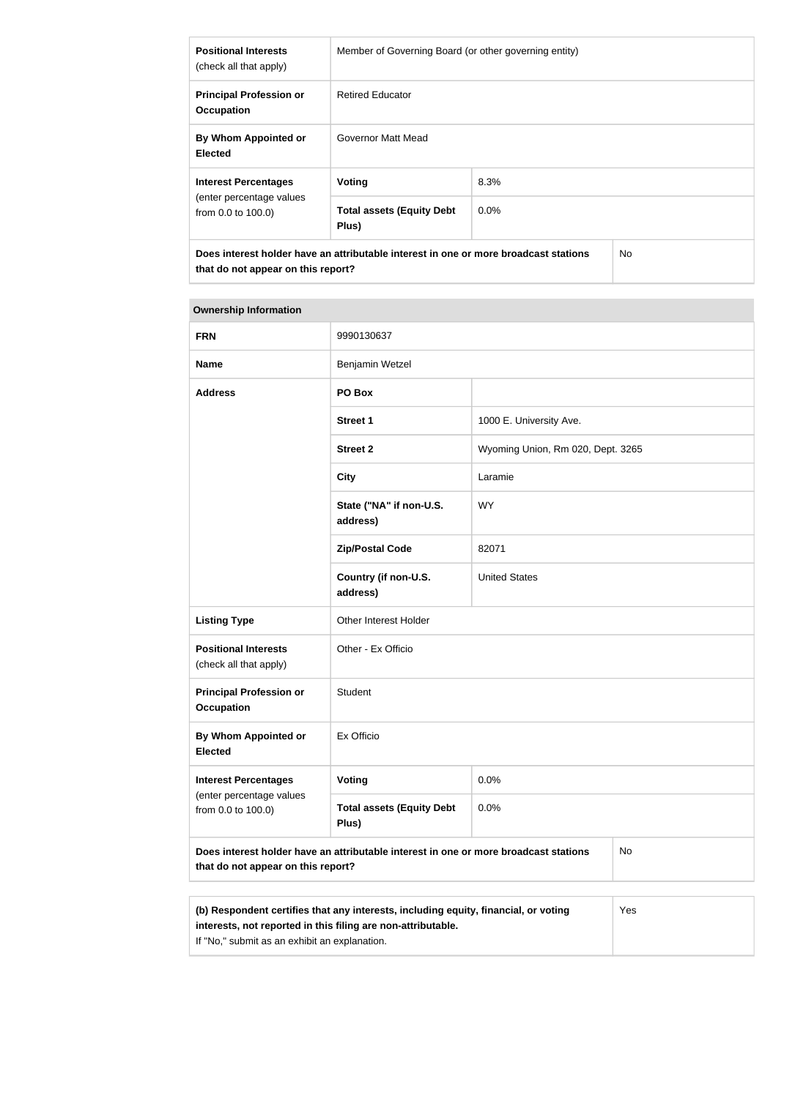| <b>Positional Interests</b><br>(check all that apply) | Member of Governing Board (or other governing entity)                                |         |                |
|-------------------------------------------------------|--------------------------------------------------------------------------------------|---------|----------------|
| <b>Principal Profession or</b><br><b>Occupation</b>   | <b>Retired Educator</b>                                                              |         |                |
| By Whom Appointed or<br><b>Elected</b>                | Governor Matt Mead                                                                   |         |                |
| <b>Interest Percentages</b>                           | <b>Voting</b>                                                                        | 8.3%    |                |
| (enter percentage values<br>from 0.0 to 100.0)        | <b>Total assets (Equity Debt</b><br>Plus)                                            | $0.0\%$ |                |
| that do not appear on this report?                    | Does interest holder have an attributable interest in one or more broadcast stations |         | N <sub>o</sub> |

| <b>FRN</b>                                            | 9990130637                                                                           |                                   |           |
|-------------------------------------------------------|--------------------------------------------------------------------------------------|-----------------------------------|-----------|
| <b>Name</b>                                           | Benjamin Wetzel                                                                      |                                   |           |
| <b>Address</b>                                        | PO Box                                                                               |                                   |           |
|                                                       | <b>Street 1</b>                                                                      | 1000 E. University Ave.           |           |
|                                                       | <b>Street 2</b>                                                                      | Wyoming Union, Rm 020, Dept. 3265 |           |
|                                                       | <b>City</b>                                                                          | Laramie                           |           |
|                                                       | State ("NA" if non-U.S.<br>address)                                                  | <b>WY</b>                         |           |
|                                                       | <b>Zip/Postal Code</b>                                                               | 82071                             |           |
|                                                       | Country (if non-U.S.<br>address)                                                     | <b>United States</b>              |           |
| <b>Listing Type</b>                                   | Other Interest Holder                                                                |                                   |           |
| <b>Positional Interests</b><br>(check all that apply) | Other - Ex Officio                                                                   |                                   |           |
| <b>Principal Profession or</b><br><b>Occupation</b>   | Student                                                                              |                                   |           |
| <b>By Whom Appointed or</b><br><b>Elected</b>         | Ex Officio                                                                           |                                   |           |
| <b>Interest Percentages</b>                           | Voting                                                                               | 0.0%                              |           |
| (enter percentage values<br>from 0.0 to 100.0)        | <b>Total assets (Equity Debt</b><br>Plus)                                            | 0.0%                              |           |
| that do not appear on this report?                    | Does interest holder have an attributable interest in one or more broadcast stations |                                   | <b>No</b> |
|                                                       |                                                                                      |                                   |           |
|                                                       | (b) Respondent certifies that any interests including equity financial or voting     |                                   | Yes       |

| (b) Respondent certifies that any interests, including equity, financial, or voting | Yes |
|-------------------------------------------------------------------------------------|-----|
| interests, not reported in this filing are non-attributable.                        |     |
| If "No," submit as an exhibit an explanation.                                       |     |